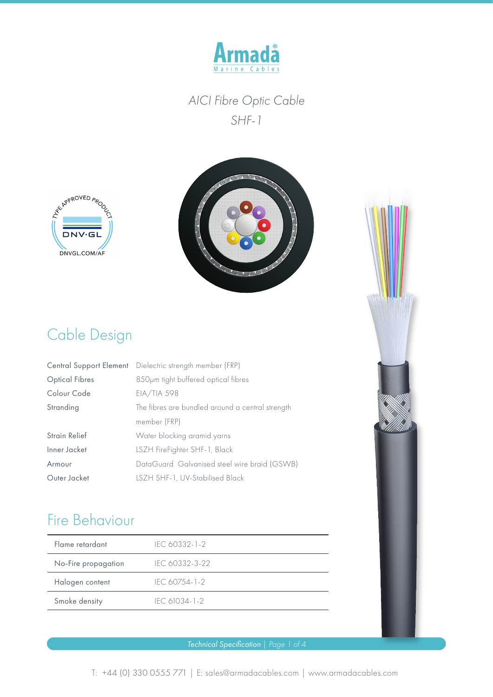





# Cable Design

|                       | Central Support Element Dielectric strength member (FRP) |  |  |
|-----------------------|----------------------------------------------------------|--|--|
| <b>Optical Fibres</b> | 850um tight buffered optical fibres                      |  |  |
| Colour Code           | EIA/TIA 598                                              |  |  |
| Stranding             | The fibres are bundled around a central strength         |  |  |
|                       | member (FRP)                                             |  |  |
| <b>Strain Relief</b>  | Water blocking aramid yarns                              |  |  |
| Inner Jacket          | LSZH FireFighter SHF-1, Black                            |  |  |
| Armour                | DataGuard Galvanised steel wire braid (GSWB)             |  |  |
| Outer Jacket          | LSZH SHF-1, UV-Stabilised Black                          |  |  |

## Fire Behaviour

| Flame retardant     | IEC 60332-1-2  |
|---------------------|----------------|
| No-Fire propagation | IEC 60332-3-22 |
| Halogen content     | IEC 60754-1-2  |
| Smoke density       | IFC 61034-1-2  |

#### *Technical Specification | Page 1 of 4*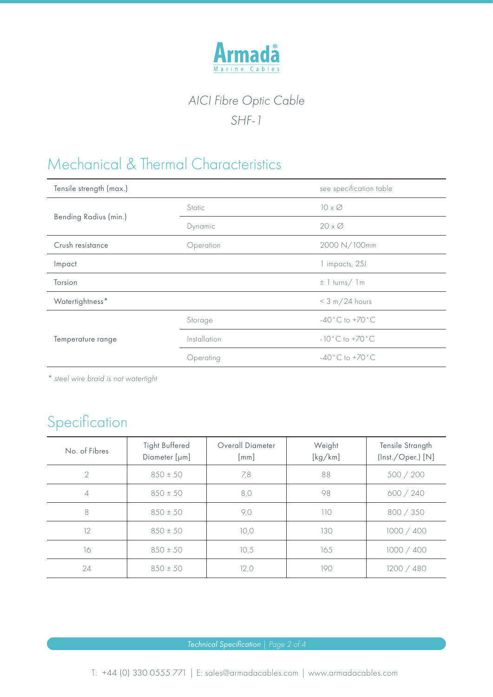

## Mechanical & Thermal Characteristics

| Tensile strength (max.) |              | see specification table            |  |
|-------------------------|--------------|------------------------------------|--|
| Bending Radius (min.)   | Static       | $10 \times \emptyset$              |  |
|                         | Dynamic      | $20 \times \emptyset$              |  |
| Crush resistance        | Operation    | 2000 N/100mm                       |  |
| Impact                  |              | 1 impacts, 25J                     |  |
| Torsion                 |              | $\pm$ 1 turns/ 1 m                 |  |
| Watertightness*         |              | $< 3 m/24$ hours                   |  |
| Temperature range       | Storage      | $-40^{\circ}$ C to $+70^{\circ}$ C |  |
|                         | Installation | $-10\degree$ C to $+70\degree$ C   |  |
|                         | Operating    | $-40^{\circ}$ C to $+70^{\circ}$ C |  |

*\* steel wire braid is not watertight*

## Specification

| No. of Fibres | <b>Tight Buffered</b><br>Diameter [µm] | Overall Diameter<br>[mm] | Weight<br>[kg/km] | Tensile Strangth<br>(Inst./Oper.) [N] |
|---------------|----------------------------------------|--------------------------|-------------------|---------------------------------------|
| $\mathcal{P}$ | $850 \pm 50$                           | 7,8                      | 88                | 500 / 200                             |
| 4             | $850 \pm 50$                           | 8,0                      | 98                | 600 / 240                             |
| 8             | $850 \pm 50$                           | 9,0                      | 110               | 800 / 350                             |
| 12            | $850 \pm 50$                           | 10,0                     | 130               | 1000 / 400                            |
| 16            | $850 \pm 50$                           | 10,5                     | 165               | 1000 / 400                            |
| 24            | $850 \pm 50$                           | 12,0                     | 190               | 1200 / 480                            |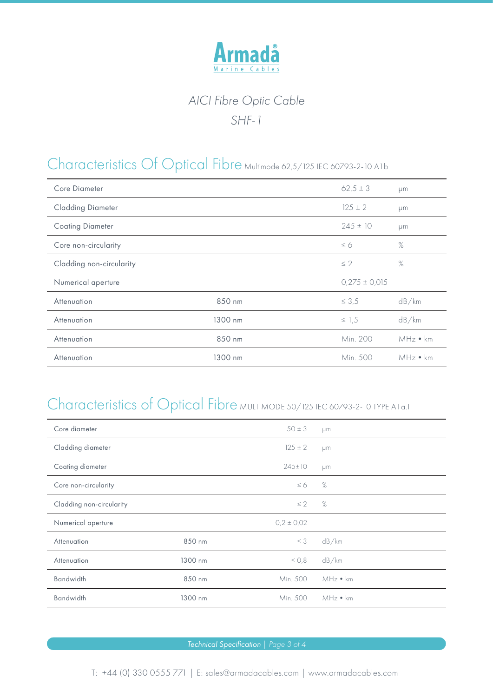

## Characteristics Of Optical Fibre Multimode 62,5/125 IEC 60793-2-10 A1b

| Core Diameter            |         | $62,5 \pm 3$      | μm             |
|--------------------------|---------|-------------------|----------------|
| <b>Cladding Diameter</b> |         | $125 \pm 2$       | µm             |
| <b>Coating Diameter</b>  |         | $245 \pm 10$      | µm             |
| Core non-circularity     |         | $\leq 6$          | $\%$           |
| Cladding non-circularity |         | $\leq 2$          | $\%$           |
| Numerical aperture       |         | $0,275 \pm 0,015$ |                |
| Attenuation              | 850 nm  | $\leq 3.5$        | dB/km          |
| Attenuation              | 1300 nm | $\leq$ 1,5        | dB/km          |
| Attenuation              | 850 nm  | Min. 200          | MHz • km       |
| Attenuation              | 1300 nm | Min. 500          | $MHz \cdot km$ |

# Characteristics of Optical Fibre MULTIMODE 50/125 IEC 60793-2-10 TYPE A1a.1

| Core diameter            |         | $50 \pm 3$     | μm        |
|--------------------------|---------|----------------|-----------|
| Cladding diameter        |         | $125 \pm 2$    | μm        |
| Coating diameter         |         | $245 \pm 10$   | <b>µm</b> |
| Core non-circularity     |         | $\leq 6$       | $\%$      |
| Cladding non-circularity |         | $\leq 2$       | $\%$      |
| Numerical aperture       |         | $0,2 \pm 0,02$ |           |
| Attenuation              | 850 nm  | $\leq 3$       | dB/km     |
| Attenuation              | 1300 nm | $\leq$ 0,8     | dB/km     |
| <b>Bandwidth</b>         | 850 nm  | Min. 500       | MHz • km  |
| <b>Bandwidth</b>         | 1300 nm | Min. 500       | MHz • km  |

*Technical Specification | Page 3 of 4*